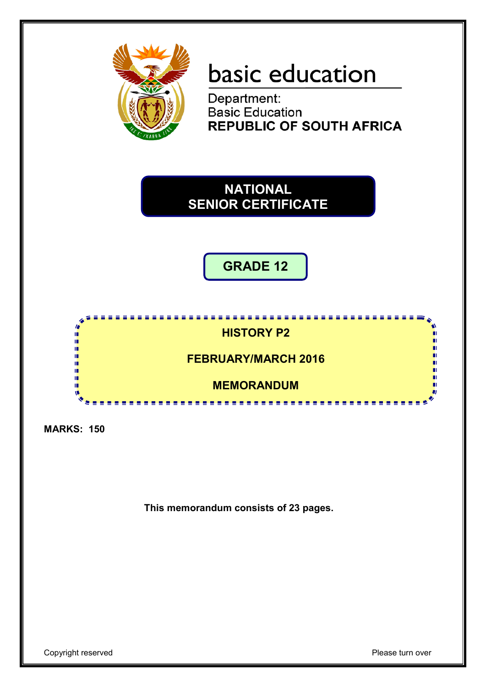

# basic education

Department: **Basic Education<br>REPUBLIC OF SOUTH AFRICA** 

## **NATIONAL SENIOR CERTIFICATE**

**GRADE 12**

### **HISTORY P2**

<u>. . . . . . .</u>

**FEBRUARY/MARCH 2016**

**MEMORANDUM**

<u>.............</u>

**MARKS: 150**

ı. ú. Ĩ,

ú,

ú m ٨Ť

**This memorandum consists of 23 pages.**

п

'n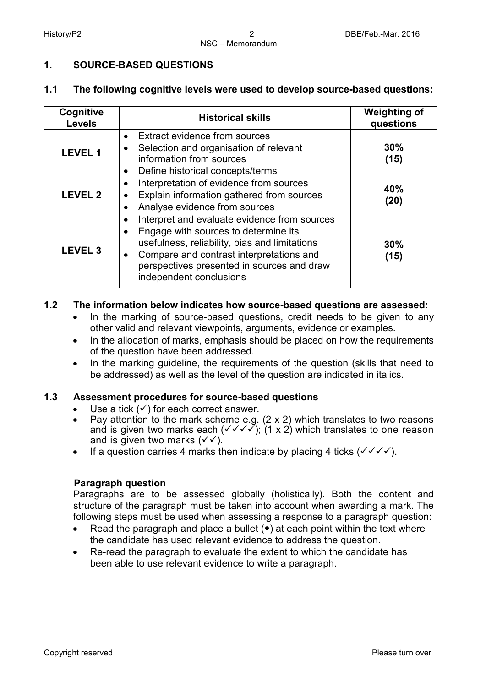#### **1. SOURCE-BASED QUESTIONS**

#### **1.1 The following cognitive levels were used to develop source-based questions:**

| Cognitive<br><b>Levels</b> | <b>Historical skills</b>                                                                                                                                                                                                                                                                          |             |
|----------------------------|---------------------------------------------------------------------------------------------------------------------------------------------------------------------------------------------------------------------------------------------------------------------------------------------------|-------------|
| <b>LEVEL 1</b>             | • Extract evidence from sources<br>Selection and organisation of relevant<br>$\bullet$<br>information from sources<br>Define historical concepts/terms<br>$\bullet$                                                                                                                               | 30%<br>(15) |
| <b>LEVEL 2</b>             | Interpretation of evidence from sources<br>$\bullet$<br>Explain information gathered from sources<br>$\bullet$<br>Analyse evidence from sources<br>$\bullet$                                                                                                                                      | 40%<br>(20) |
| <b>LEVEL 3</b>             | Interpret and evaluate evidence from sources<br>$\bullet$<br>Engage with sources to determine its<br>$\bullet$<br>usefulness, reliability, bias and limitations<br>Compare and contrast interpretations and<br>$\bullet$<br>perspectives presented in sources and draw<br>independent conclusions | 30%<br>(15) |

#### **1.2 The information below indicates how source-based questions are assessed:**

- In the marking of source-based questions, credit needs to be given to any other valid and relevant viewpoints, arguments, evidence or examples.
- In the allocation of marks, emphasis should be placed on how the requirements of the question have been addressed.
- In the marking quideline, the requirements of the question (skills that need to be addressed) as well as the level of the question are indicated in italics.

#### **1.3 Assessment procedures for source-based questions**

- Use a tick  $(\checkmark)$  for each correct answer.
- Pay attention to the mark scheme e.g.  $(2 \times 2)$  which translates to two reasons and is given two marks each ( $\checkmark \checkmark \checkmark$ ); (1 x 2) which translates to one reason and is given two marks  $(\checkmark)$ .
- If a question carries 4 marks then indicate by placing 4 ticks  $(\sqrt{\sqrt{}})$ .

#### **Paragraph question**

Paragraphs are to be assessed globally (holistically). Both the content and structure of the paragraph must be taken into account when awarding a mark. The following steps must be used when assessing a response to a paragraph question:

- Read the paragraph and place a bullet  $(\bullet)$  at each point within the text where the candidate has used relevant evidence to address the question.
- Re-read the paragraph to evaluate the extent to which the candidate has been able to use relevant evidence to write a paragraph.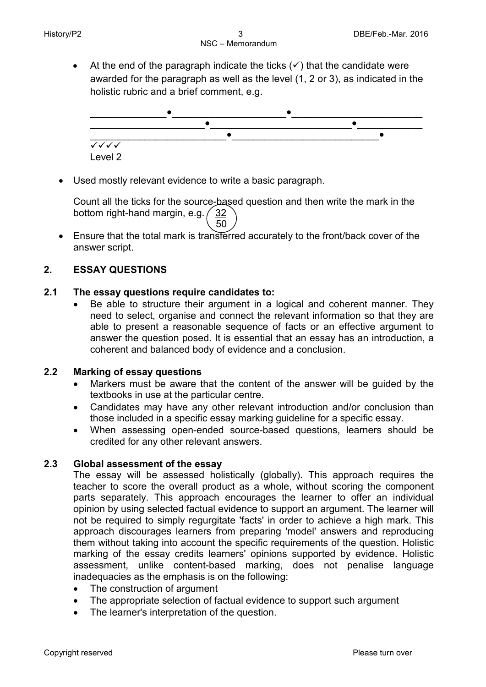• At the end of the paragraph indicate the ticks  $(\checkmark)$  that the candidate were awarded for the paragraph as well as the level (1, 2 or 3), as indicated in the holistic rubric and a brief comment, e.g.



• Used mostly relevant evidence to write a basic paragraph.

Count all the ticks for the source-based question and then write the mark in the bottom right-hand margin, e.g.  $\frac{32}{ }$  $\sim$  50

• Ensure that the total mark is transferred accurately to the front/back cover of the answer script.

#### **2. ESSAY QUESTIONS**

#### **2.1 The essay questions require candidates to:**

Be able to structure their argument in a logical and coherent manner. They need to select, organise and connect the relevant information so that they are able to present a reasonable sequence of facts or an effective argument to answer the question posed. It is essential that an essay has an introduction, a coherent and balanced body of evidence and a conclusion.

#### **2.2 Marking of essay questions**

- Markers must be aware that the content of the answer will be guided by the textbooks in use at the particular centre.
- Candidates may have any other relevant introduction and/or conclusion than those included in a specific essay marking guideline for a specific essay.
- When assessing open-ended source-based questions, learners should be credited for any other relevant answers.

#### **2.3 Global assessment of the essay**

The essay will be assessed holistically (globally). This approach requires the teacher to score the overall product as a whole, without scoring the component parts separately. This approach encourages the learner to offer an individual opinion by using selected factual evidence to support an argument. The learner will not be required to simply regurgitate 'facts' in order to achieve a high mark. This approach discourages learners from preparing 'model' answers and reproducing them without taking into account the specific requirements of the question. Holistic marking of the essay credits learners' opinions supported by evidence. Holistic assessment, unlike content-based marking, does not penalise language inadequacies as the emphasis is on the following:

- The construction of argument
- The appropriate selection of factual evidence to support such argument
- The learner's interpretation of the question.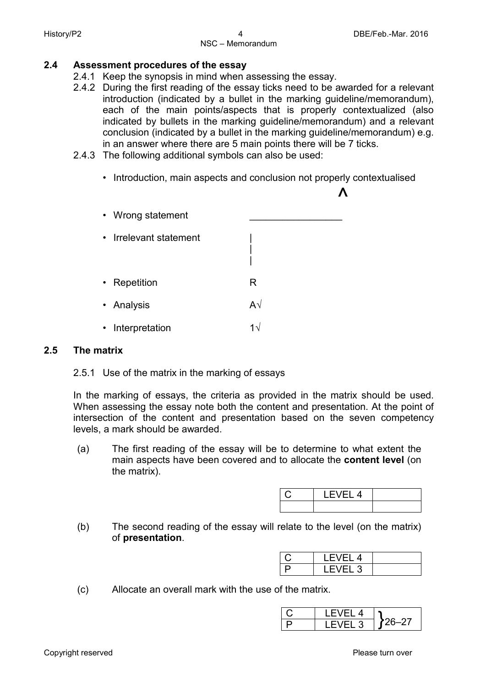- **2.4 Assessment procedures of the essay**
	- 2.4.1 Keep the synopsis in mind when assessing the essay.
	- 2.4.2 During the first reading of the essay ticks need to be awarded for a relevant introduction (indicated by a bullet in the marking guideline/memorandum), each of the main points/aspects that is properly contextualized (also indicated by bullets in the marking guideline/memorandum) and a relevant conclusion (indicated by a bullet in the marking guideline/memorandum) e.g. in an answer where there are 5 main points there will be 7 ticks.
	- 2.4.3 The following additional symbols can also be used:
		- Introduction, main aspects and conclusion not properly contextualised



#### **2.5 The matrix**

2.5.1 Use of the matrix in the marking of essays

In the marking of essays, the criteria as provided in the matrix should be used. When assessing the essay note both the content and presentation. At the point of intersection of the content and presentation based on the seven competency levels, a mark should be awarded.

(a) The first reading of the essay will be to determine to what extent the main aspects have been covered and to allocate the **content level** (on the matrix).

| 4 |  |
|---|--|
|   |  |

(b) The second reading of the essay will relate to the level (on the matrix) of **presentation**.

| . EV!<br>FI 4 |  |
|---------------|--|
| ان ا∹         |  |

(c) Allocate an overall mark with the use of the matrix.

| <u>д</u> |  |
|----------|--|
| - 1      |  |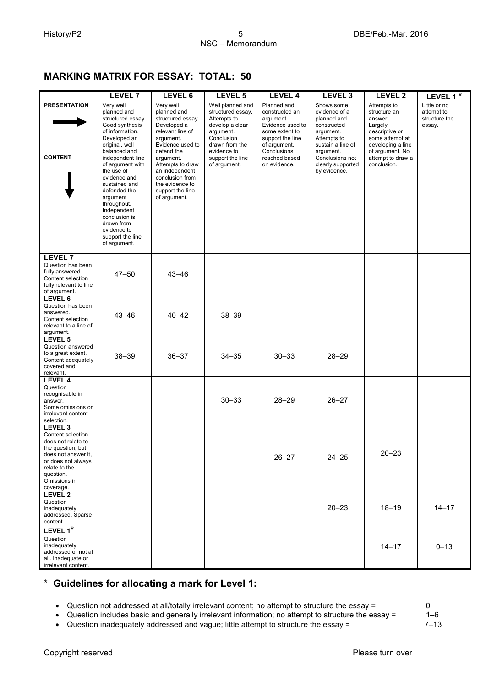#### **MARKING MATRIX FOR ESSAY: TOTAL: 50**

|                                                                                                                                                                                            | <b>LEVEL 7</b>                                                                                                                                                                                                                                                                                                                                                          | LEVEL 6                                                                                                                                                                                                                                                      | LEVEL 5                                                                                                                                                                 | <b>LEVEL 4</b>                                                                                                                                                       | LEVEL <sub>3</sub>                                                                                                                                                              | LEVEL <sub>2</sub>                                                                                                                                                 | LEVEL 1*                                              |
|--------------------------------------------------------------------------------------------------------------------------------------------------------------------------------------------|-------------------------------------------------------------------------------------------------------------------------------------------------------------------------------------------------------------------------------------------------------------------------------------------------------------------------------------------------------------------------|--------------------------------------------------------------------------------------------------------------------------------------------------------------------------------------------------------------------------------------------------------------|-------------------------------------------------------------------------------------------------------------------------------------------------------------------------|----------------------------------------------------------------------------------------------------------------------------------------------------------------------|---------------------------------------------------------------------------------------------------------------------------------------------------------------------------------|--------------------------------------------------------------------------------------------------------------------------------------------------------------------|-------------------------------------------------------|
| <b>PRESENTATION</b><br><b>CONTENT</b>                                                                                                                                                      | Very well<br>planned and<br>structured essay.<br>Good synthesis<br>of information.<br>Developed an<br>original, well<br>balanced and<br>independent line<br>of argument with<br>the use of<br>evidence and<br>sustained and<br>defended the<br>argument<br>throughout.<br>Independent<br>conclusion is<br>drawn from<br>evidence to<br>support the line<br>of argument. | Very well<br>planned and<br>structured essay.<br>Developed a<br>relevant line of<br>argument.<br>Evidence used to<br>defend the<br>argument.<br>Attempts to draw<br>an independent<br>conclusion from<br>the evidence to<br>support the line<br>of argument. | Well planned and<br>structured essay.<br>Attempts to<br>develop a clear<br>argument.<br>Conclusion<br>drawn from the<br>evidence to<br>support the line<br>of argument. | Planned and<br>constructed an<br>argument.<br>Evidence used to<br>some extent to<br>support the line<br>of argument.<br>Conclusions<br>reached based<br>on evidence. | Shows some<br>evidence of a<br>planned and<br>constructed<br>argument.<br>Attempts to<br>sustain a line of<br>argument.<br>Conclusions not<br>clearly supported<br>by evidence. | Attempts to<br>structure an<br>answer.<br>Largely<br>descriptive or<br>some attempt at<br>developing a line<br>of argument. No<br>attempt to draw a<br>conclusion. | Little or no<br>attempt to<br>structure the<br>essay. |
| <b>LEVEL 7</b><br>Question has been<br>fully answered.<br>Content selection<br>fully relevant to line<br>of argument.                                                                      | $47 - 50$                                                                                                                                                                                                                                                                                                                                                               | $43 - 46$                                                                                                                                                                                                                                                    |                                                                                                                                                                         |                                                                                                                                                                      |                                                                                                                                                                                 |                                                                                                                                                                    |                                                       |
| <b>LEVEL 6</b><br>Question has been<br>answered.<br>Content selection<br>relevant to a line of<br>argument.                                                                                | $43 - 46$                                                                                                                                                                                                                                                                                                                                                               | $40 - 42$                                                                                                                                                                                                                                                    | $38 - 39$                                                                                                                                                               |                                                                                                                                                                      |                                                                                                                                                                                 |                                                                                                                                                                    |                                                       |
| LEVEL 5<br>Question answered<br>to a great extent.<br>Content adequately<br>covered and<br>relevant.                                                                                       | $38 - 39$                                                                                                                                                                                                                                                                                                                                                               | $36 - 37$                                                                                                                                                                                                                                                    | $34 - 35$                                                                                                                                                               | $30 - 33$                                                                                                                                                            | $28 - 29$                                                                                                                                                                       |                                                                                                                                                                    |                                                       |
| <b>LEVEL 4</b><br>Question<br>recognisable in<br>answer.<br>Some omissions or<br>irrelevant content<br>selection.                                                                          |                                                                                                                                                                                                                                                                                                                                                                         |                                                                                                                                                                                                                                                              | $30 - 33$                                                                                                                                                               | $28 - 29$                                                                                                                                                            | $26 - 27$                                                                                                                                                                       |                                                                                                                                                                    |                                                       |
| LEVEL <sub>3</sub><br>Content selection<br>does not relate to<br>the question, but<br>does not answer it,<br>or does not always<br>relate to the<br>question.<br>Omissions in<br>coverage. |                                                                                                                                                                                                                                                                                                                                                                         |                                                                                                                                                                                                                                                              |                                                                                                                                                                         | $26 - 27$                                                                                                                                                            | $24 - 25$                                                                                                                                                                       | $20 - 23$                                                                                                                                                          |                                                       |
| <b>LEVEL 2</b><br>Question<br>inadequately<br>addressed. Sparse<br>content.                                                                                                                |                                                                                                                                                                                                                                                                                                                                                                         |                                                                                                                                                                                                                                                              | $20 - 23$<br>$18 - 19$                                                                                                                                                  |                                                                                                                                                                      |                                                                                                                                                                                 | $14 - 17$                                                                                                                                                          |                                                       |
| LEVEL 1*<br>Question<br>inadequately<br>addressed or not at<br>all. Inadequate or<br>irrelevant content.                                                                                   |                                                                                                                                                                                                                                                                                                                                                                         |                                                                                                                                                                                                                                                              |                                                                                                                                                                         |                                                                                                                                                                      |                                                                                                                                                                                 | $14 - 17$                                                                                                                                                          | $0 - 13$                                              |

#### \* **Guidelines for allocating a mark for Level 1:**

• Question not addressed at all/totally irrelevant content; no attempt to structure the essay = 0

• Question includes basic and generally irrelevant information; no attempt to structure the essay = 1–6

• Question inadequately addressed and vague; little attempt to structure the essay = 7–13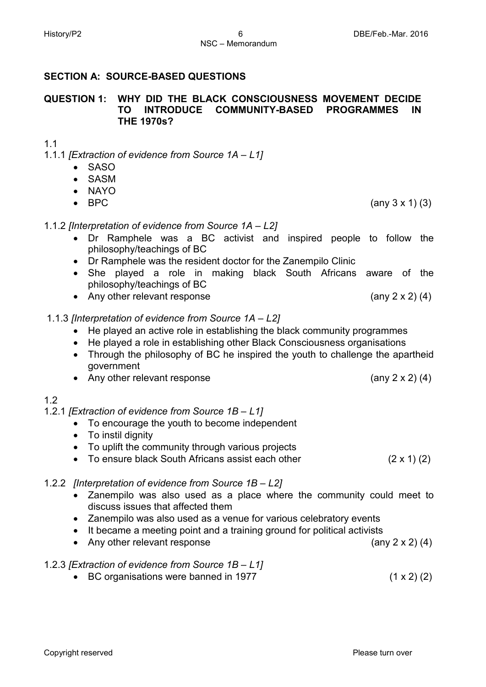## **SECTION A: SOURCE-BASED QUESTIONS**

#### **QUESTION 1: WHY DID THE BLACK CONSCIOUSNESS MOVEMENT DECIDE TO INTRODUCE COMMUNITY-BASED PROGRAMMES IN THE 1970s?**

### 1.1

- 1.1.1 *[Extraction of evidence from Source 1A – L1]*
	- SASO
	- SASM
	- NAYO
	-

### 1.1.2 *[Interpretation of evidence from Source 1A – L2]*

- Dr Ramphele was a BC activist and inspired people to follow the philosophy/teachings of BC
- Dr Ramphele was the resident doctor for the Zanempilo Clinic
- She played a role in making black South Africans aware of the philosophy/teachings of BC
- Any other relevant response (any 2 x 2) (4)

### 1.1.3 *[Interpretation of evidence from Source 1A – L2]*

- He played an active role in establishing the black community programmes
- He played a role in establishing other Black Consciousness organisations
- Through the philosophy of BC he inspired the youth to challenge the apartheid government
- Any other relevant response (any 2 x 2) (4)

### 1.2

### 1.2.1 *[Extraction of evidence from Source 1B – L1]*

- To encourage the youth to become independent
- To instil dignity
- To uplift the community through various projects
- To ensure black South Africans assist each other (2 x 1) (2)

### 1.2.2 *[Interpretation of evidence from Source 1B – L2]*

- Zanempilo was also used as a place where the community could meet to discuss issues that affected them
- Zanempilo was also used as a venue for various celebratory events
- It became a meeting point and a training ground for political activists
- Any other relevant response (any 2 x 2) (4)

### 1.2.3 *[Extraction of evidence from Source 1B – L1]*

• BC organisations were banned in 1977 (1 x 2) (2)

• BPC  $(any 3 x 1) (3)$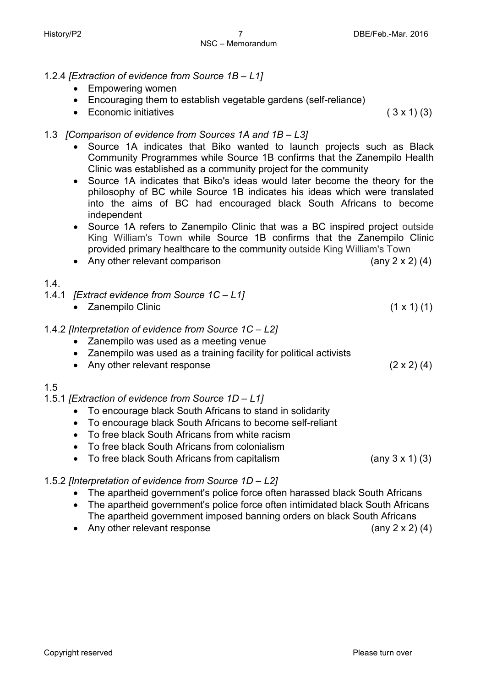- 1.2.4 *[Extraction of evidence from Source 1B – L1]*
	- Empowering women
	- Encouraging them to establish vegetable gardens (self-reliance)
	- Economic initiatives (  $3 \times 1$  (3)

#### 1.3 *[Comparison of evidence from Sources 1A and 1B – L3]*

- Source 1A indicates that Biko wanted to launch projects such as Black Community Programmes while Source 1B confirms that the Zanempilo Health Clinic was established as a community project for the community
- Source 1A indicates that Biko's ideas would later become the theory for the philosophy of BC while Source 1B indicates his ideas which were translated into the aims of BC had encouraged black South Africans to become independent
- Source 1A refers to Zanempilo Clinic that was a BC inspired project outside King William's Town while Source 1B confirms that the Zanempilo Clinic provided primary healthcare to the community outside King William's Town
- Any other relevant comparison (any 2 x 2) (4)
- 1.4.
- 1.4.1 *[Extract evidence from Source 1C – L1]*
	- Zanempilo Clinic  $(1 \times 1)$  (1)

#### 1.4.2 *[Interpretation of evidence from Source 1C – L2]*

- Zanempilo was used as a meeting venue
- Zanempilo was used as a training facility for political activists
- Any other relevant response (2 x 2) (4)

#### 1.5

- 1.5.1 *[Extraction of evidence from Source 1D – L1]*
	- To encourage black South Africans to stand in solidarity
	- To encourage black South Africans to become self-reliant
	- To free black South Africans from white racism
	- To free black South Africans from colonialism
	- To free black South Africans from capitalism (any 3 x 1) (3)

#### 1.5.2 *[Interpretation of evidence from Source 1D – L2]*

- The apartheid government's police force often harassed black South Africans
- The apartheid government's police force often intimidated black South Africans The apartheid government imposed banning orders on black South Africans
- Any other relevant response (any 2 x 2) (4)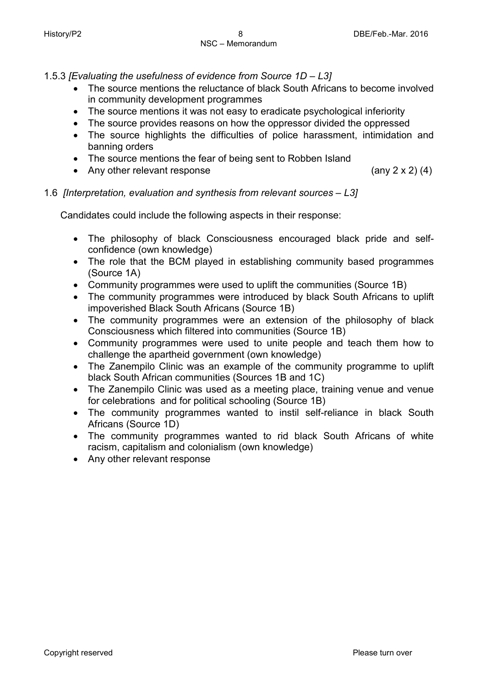1.5.3 *[Evaluating the usefulness of evidence from Source 1D – L3]*

- The source mentions the reluctance of black South Africans to become involved in community development programmes
- The source mentions it was not easy to eradicate psychological inferiority
- The source provides reasons on how the oppressor divided the oppressed
- The source highlights the difficulties of police harassment, intimidation and banning orders
- The source mentions the fear of being sent to Robben Island
- Any other relevant response (any 2 x 2) (4)

1.6 *[Interpretation, evaluation and synthesis from relevant sources – L3]*

Candidates could include the following aspects in their response:

- The philosophy of black Consciousness encouraged black pride and selfconfidence (own knowledge)
- The role that the BCM played in establishing community based programmes (Source 1A)
- Community programmes were used to uplift the communities (Source 1B)
- The community programmes were introduced by black South Africans to uplift impoverished Black South Africans (Source 1B)
- The community programmes were an extension of the philosophy of black Consciousness which filtered into communities (Source 1B)
- Community programmes were used to unite people and teach them how to challenge the apartheid government (own knowledge)
- The Zanempilo Clinic was an example of the community programme to uplift black South African communities (Sources 1B and 1C)
- The Zanempilo Clinic was used as a meeting place, training venue and venue for celebrations and for political schooling (Source 1B)
- The community programmes wanted to instil self-reliance in black South Africans (Source 1D)
- The community programmes wanted to rid black South Africans of white racism, capitalism and colonialism (own knowledge)
- Any other relevant response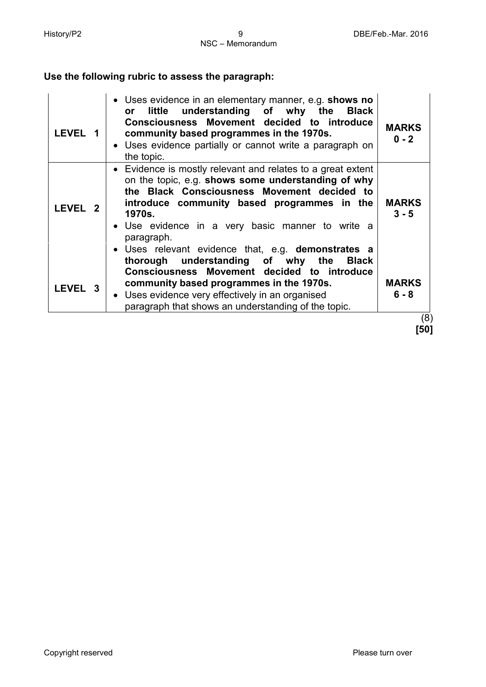#### **Use the following rubric to assess the paragraph:**

| LEVEL 1<br>community based programmes in the 1970s.<br>• Uses evidence partially or cannot write a paragraph on<br>the topic.<br>• Evidence is mostly relevant and relates to a great extent                                                                                                                    | <b>MARKS</b><br>$0 - 2$        |
|-----------------------------------------------------------------------------------------------------------------------------------------------------------------------------------------------------------------------------------------------------------------------------------------------------------------|--------------------------------|
| on the topic, e.g. shows some understanding of why<br>the Black Consciousness Movement decided to<br>introduce community based programmes in the<br><b>LEVEL 2</b><br>1970s.<br>• Use evidence in a very basic manner to write a<br>paragraph.                                                                  | <b>MARKS</b><br>$3 - 5$        |
| Uses relevant evidence that, e.g. demonstrates a<br>thorough understanding of why the<br>Black<br>Consciousness Movement decided to introduce<br>community based programmes in the 1970s.<br>LEVEL 3<br>• Uses evidence very effectively in an organised<br>paragraph that shows an understanding of the topic. | <b>MARKS</b><br>$6 - 8$<br>(8) |

**[50]**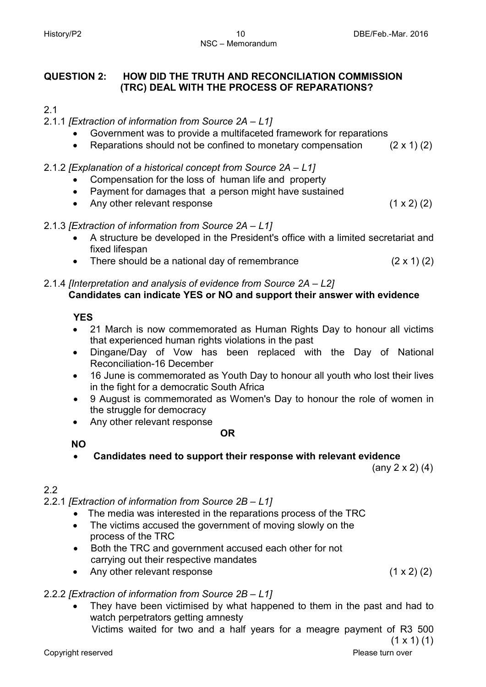#### **QUESTION 2: HOW DID THE TRUTH AND RECONCILIATION COMMISSION (TRC) DEAL WITH THE PROCESS OF REPARATIONS?**

#### 2.1

#### 2.1.1 *[Extraction of information from Source 2A – L1]*

- Government was to provide a multifaceted framework for reparations
- Reparations should not be confined to monetary compensation  $(2 \times 1)$  (2)

#### 2.1.2 *[Explanation of a historical concept from Source 2A – L1]*

- Compensation for the loss of human life and property
- Payment for damages that a person might have sustained
- Any other relevant response (1 x 2) (2)

#### 2.1.3 *[Extraction of information from Source 2A – L1]*

- A structure be developed in the President's office with a limited secretariat and fixed lifespan
- There should be a national day of remembrance  $(2 \times 1)$   $(2)$

#### 2.1.4 *[Interpretation and analysis of evidence from Source 2A – L2]*  **Candidates can indicate YES or NO and support their answer with evidence**

#### **YES**

- 21 March is now commemorated as Human Rights Day to honour all victims that experienced human rights violations in the past
- Dingane/Day of Vow has been replaced with the Day of National Reconciliation-16 December
- 16 June is commemorated as Youth Day to honour all youth who lost their lives in the fight for a democratic South Africa
- 9 August is commemorated as Women's Day to honour the role of women in the struggle for democracy
- Any other relevant response

#### **OR**

#### **NO**

• **Candidates need to support their response with relevant evidence**

(any 2 x 2) (4)

#### 2.2

2.2.1 *[Extraction of information from Source 2B – L1]*

- The media was interested in the reparations process of the TRC
- The victims accused the government of moving slowly on the process of the TRC
- Both the TRC and government accused each other for not carrying out their respective mandates
- Any other relevant response (1 x 2) (2)

#### 2.2.2 *[Extraction of information from Source 2B – L1]*

- They have been victimised by what happened to them in the past and had to watch perpetrators getting amnesty
	- Victims waited for two and a half years for a meagre payment of R3 500

 $(1 \times 1)$  (1)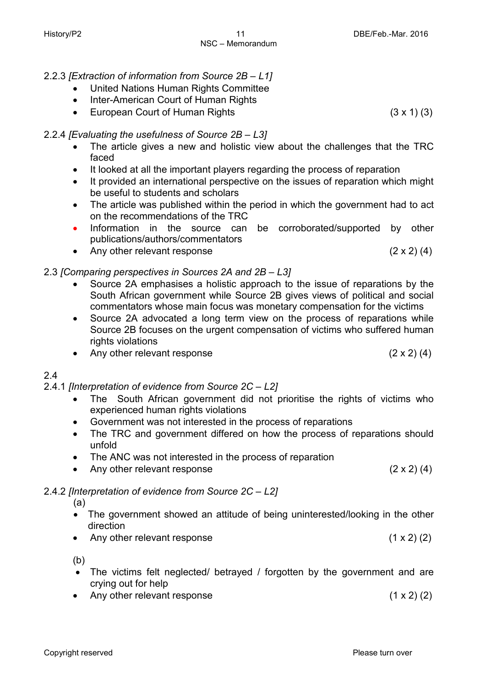- 2.2.3 *[Extraction of information from Source 2B – L1]*
	- United Nations Human Rights Committee
	- Inter-American Court of Human Rights
	- European Court of Human Rights (3 x 1) (3)

#### 2.2.4 *[Evaluating the usefulness of Source 2B – L3]*

- The article gives a new and holistic view about the challenges that the TRC faced
- It looked at all the important players regarding the process of reparation
- It provided an international perspective on the issues of reparation which might be useful to students and scholars
- The article was published within the period in which the government had to act on the recommendations of the TRC
- Information in the source can be corroborated/supported by other publications/authors/commentators
- Any other relevant response  $(2 \times 2)$  (4)

#### 2.3 *[Comparing perspectives in Sources 2A and 2B – L3]*

- Source 2A emphasises a holistic approach to the issue of reparations by the South African government while Source 2B gives views of political and social commentators whose main focus was monetary compensation for the victims
- Source 2A advocated a long term view on the process of reparations while Source 2B focuses on the urgent compensation of victims who suffered human rights violations
- Any other relevant response (2 x 2) (4)

#### 2.4

- 2.4.1 *[Interpretation of evidence from Source 2C – L2]* 
	- The South African government did not prioritise the rights of victims who experienced human rights violations
	- Government was not interested in the process of reparations
	- The TRC and government differed on how the process of reparations should unfold
	- The ANC was not interested in the process of reparation
	- Any other relevant response (2 x 2) (4)

### 2.4.2 *[Interpretation of evidence from Source 2C – L2]*

(a)

- The government showed an attitude of being uninterested/looking in the other direction
- Any other relevant response (1 x 2) (2)

(b)

- The victims felt neglected/ betrayed / forgotten by the government and are crying out for help
- Any other relevant response (1 x 2) (2)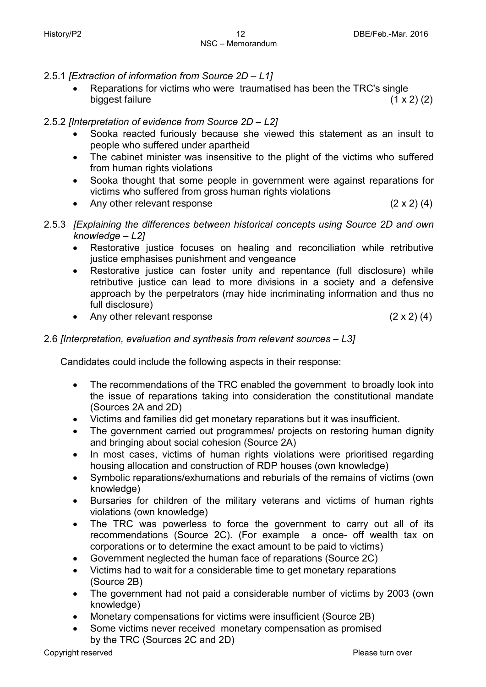- 2.5.1 *[Extraction of information from Source 2D – L1]*
	- Reparations for victims who were traumatised has been the TRC's single biggest failure  $(1 \times 2)$  (2)

#### 2.5.2 *[Interpretation of evidence from Source 2D – L2]*

- Sooka reacted furiously because she viewed this statement as an insult to people who suffered under apartheid
- The cabinet minister was insensitive to the plight of the victims who suffered from human rights violations
- Sooka thought that some people in government were against reparations for victims who suffered from gross human rights violations
- Any other relevant response (2 x 2) (4)
- 2.5.3 *[Explaining the differences between historical concepts using Source 2D and own knowledge – L2]*
	- Restorative justice focuses on healing and reconciliation while retributive justice emphasises punishment and vengeance
	- Restorative justice can foster unity and repentance (full disclosure) while retributive justice can lead to more divisions in a society and a defensive approach by the perpetrators (may hide incriminating information and thus no full disclosure)
	- Any other relevant response (2 x 2) (4)

#### 2.6 *[Interpretation, evaluation and synthesis from relevant sources – L3]*

Candidates could include the following aspects in their response:

- The recommendations of the TRC enabled the government to broadly look into the issue of reparations taking into consideration the constitutional mandate (Sources 2A and 2D)
- Victims and families did get monetary reparations but it was insufficient.
- The government carried out programmes/ projects on restoring human dignity and bringing about social cohesion (Source 2A)
- In most cases, victims of human rights violations were prioritised regarding housing allocation and construction of RDP houses (own knowledge)
- Symbolic reparations/exhumations and reburials of the remains of victims (own knowledge)
- Bursaries for children of the military veterans and victims of human rights violations (own knowledge)
- The TRC was powerless to force the government to carry out all of its recommendations (Source 2C). (For example a once- off wealth tax on corporations or to determine the exact amount to be paid to victims)
- Government neglected the human face of reparations (Source 2C)
- Victims had to wait for a considerable time to get monetary reparations (Source 2B)
- The government had not paid a considerable number of victims by 2003 (own knowledge)
- Monetary compensations for victims were insufficient (Source 2B)
- Some victims never received monetary compensation as promised by the TRC (Sources 2C and 2D)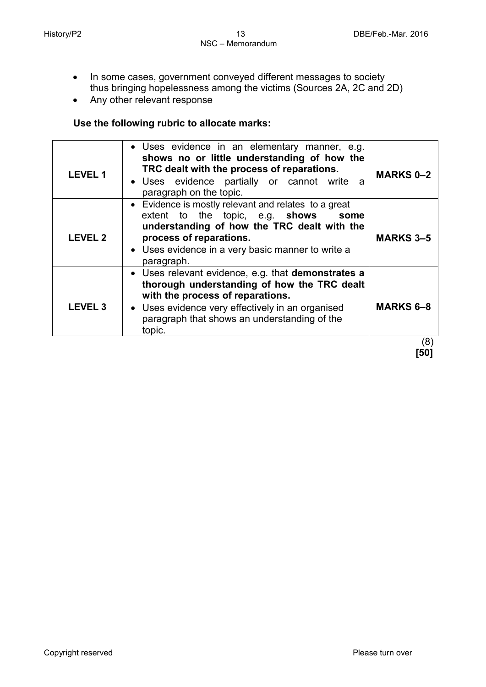- In some cases, government conveyed different messages to society thus bringing hopelessness among the victims (Sources 2A, 2C and 2D)
- Any other relevant response

#### **Use the following rubric to allocate marks:**

| <b>LEVEL 1</b> | • Uses evidence in an elementary manner, e.g.<br>shows no or little understanding of how the<br>TRC dealt with the process of reparations.<br>• Uses evidence partially or cannot write<br>a<br>paragraph on the topic.                             | <b>MARKS 0-2</b> |
|----------------|-----------------------------------------------------------------------------------------------------------------------------------------------------------------------------------------------------------------------------------------------------|------------------|
| <b>LEVEL 2</b> | • Evidence is mostly relevant and relates to a great<br>extent to the topic, e.g. shows<br>some<br>understanding of how the TRC dealt with the<br>process of reparations.<br>• Uses evidence in a very basic manner to write a<br>paragraph.        | <b>MARKS 3-5</b> |
| <b>LEVEL 3</b> | • Uses relevant evidence, e.g. that demonstrates a<br>thorough understanding of how the TRC dealt<br>with the process of reparations.<br>• Uses evidence very effectively in an organised<br>paragraph that shows an understanding of the<br>topic. | <b>MARKS 6-8</b> |
|                |                                                                                                                                                                                                                                                     | (8)              |

**[50]**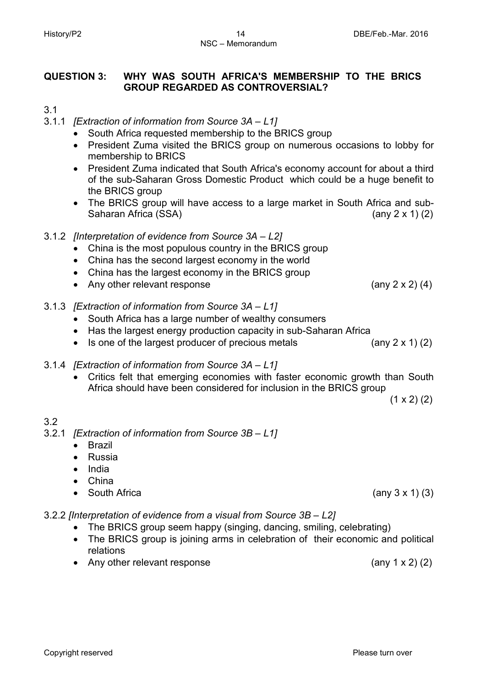#### **QUESTION 3: WHY WAS SOUTH AFRICA'S MEMBERSHIP TO THE BRICS GROUP REGARDED AS CONTROVERSIAL?**

- 3.1
- 3.1.1 *[Extraction of information from Source 3A – L1]*
	- South Africa requested membership to the BRICS group
	- President Zuma visited the BRICS group on numerous occasions to lobby for membership to BRICS
	- President Zuma indicated that South Africa's economy account for about a third of the sub-Saharan Gross Domestic Product which could be a huge benefit to the BRICS group
	- The BRICS group will have access to a large market in South Africa and sub-<br>Saharan Africa (SSA) (any 2 x 1) (2) Saharan Africa (SSA)
- 3.1.2 *[Interpretation of evidence from Source 3A – L2]*
	- China is the most populous country in the BRICS group
	- China has the second largest economy in the world
	- China has the largest economy in the BRICS group
	- Any other relevant response (any 2 x 2) (4)
- 3.1.3 *[Extraction of information from Source 3A – L1]*
	- South Africa has a large number of wealthy consumers
	- Has the largest energy production capacity in sub-Saharan Africa
	- Is one of the largest producer of precious metals  $(any 2 x 1) (2)$
- 3.1.4 *[Extraction of information from Source 3A – L1]*
	- Critics felt that emerging economies with faster economic growth than South Africa should have been considered for inclusion in the BRICS group

 $(1 \times 2)$   $(2)$ 

#### 3.2

- 3.2.1 *[Extraction of information from Source 3B – L1]*
	- Brazil
	- Russia
	- India
	- China
	- South Africa  $($ any 3 x 1 $)$  (3)

3.2.2 *[Interpretation of evidence from a visual from Source 3B – L2]*

- The BRICS group seem happy (singing, dancing, smiling, celebrating)
- The BRICS group is joining arms in celebration of their economic and political relations
- Any other relevant response(any 1 x 2) (2)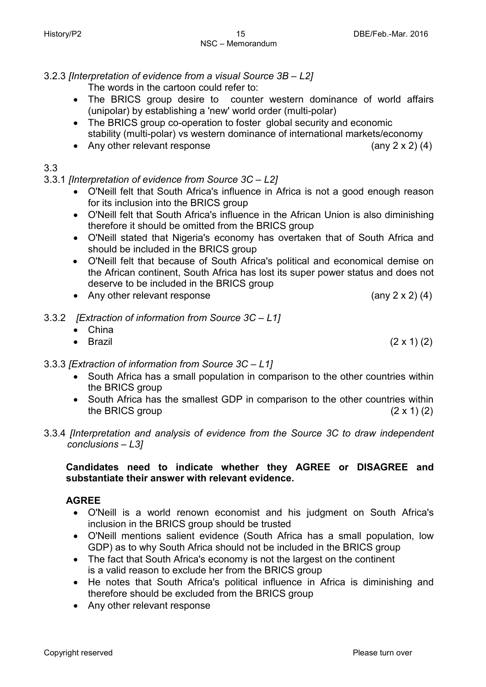#### 3.2.3 *[Interpretation of evidence from a visual Source 3B – L2]*

The words in the cartoon could refer to:

- The BRICS group desire to counter western dominance of world affairs (unipolar) by establishing a 'new' world order (multi-polar)
- The BRICS group co-operation to foster global security and economic stability (multi-polar) vs western dominance of international markets/economy
- Any other relevant response (any 2 x 2) (4)

3.3

#### 3.3.1 *[Interpretation of evidence from Source 3C – L2]*

- O'Neill felt that South Africa's influence in Africa is not a good enough reason for its inclusion into the BRICS group
- O'Neill felt that South Africa's influence in the African Union is also diminishing therefore it should be omitted from the BRICS group
- O'Neill stated that Nigeria's economy has overtaken that of South Africa and should be included in the BRICS group
- O'Neill felt that because of South Africa's political and economical demise on the African continent, South Africa has lost its super power status and does not deserve to be included in the BRICS group
- Any other relevant response (any 2 x 2) (4)
- 3.3.2 *[Extraction of information from Source 3C – L1]*

| • China  |                    |
|----------|--------------------|
| • Brazil | $(2 \times 1)$ (2) |

#### 3.3.3 *[Extraction of information from Source 3C – L1]*

- South Africa has a small population in comparison to the other countries within the BRICS group
- South Africa has the smallest GDP in comparison to the other countries within the BRICS group  $(2 \times 1)$  (2)
- 3.3.4 *[Interpretation and analysis of evidence from the Source 3C to draw independent conclusions – L3]*

#### **Candidates need to indicate whether they AGREE or DISAGREE and substantiate their answer with relevant evidence.**

#### **AGREE**

- O'Neill is a world renown economist and his judgment on South Africa's inclusion in the BRICS group should be trusted
- O'Neill mentions salient evidence (South Africa has a small population, low GDP) as to why South Africa should not be included in the BRICS group
- The fact that South Africa's economy is not the largest on the continent is a valid reason to exclude her from the BRICS group
- He notes that South Africa's political influence in Africa is diminishing and therefore should be excluded from the BRICS group
- Any other relevant response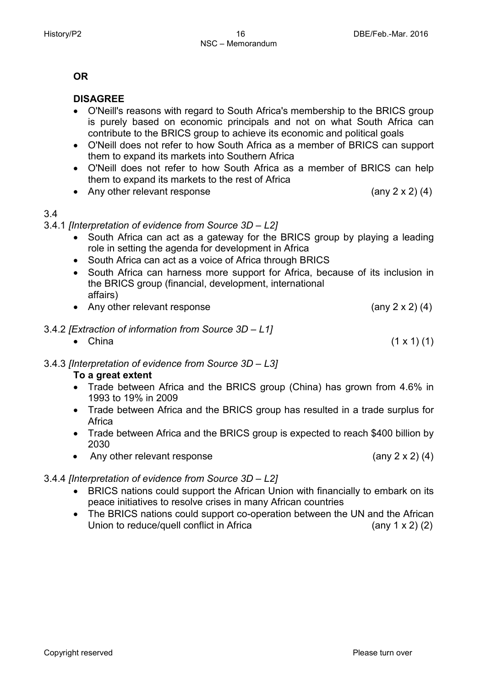#### **OR**

#### **DISAGREE**

- O'Neill's reasons with regard to South Africa's membership to the BRICS group is purely based on economic principals and not on what South Africa can contribute to the BRICS group to achieve its economic and political goals
- O'Neill does not refer to how South Africa as a member of BRICS can support them to expand its markets into Southern Africa
- O'Neill does not refer to how South Africa as a member of BRICS can help them to expand its markets to the rest of Africa
- Any other relevant response (any 2 x 2) (4)

#### 3.4

3.4.1 *[Interpretation of evidence from Source 3D – L2]*

- South Africa can act as a gateway for the BRICS group by playing a leading role in setting the agenda for development in Africa
- South Africa can act as a voice of Africa through BRICS
- South Africa can harness more support for Africa, because of its inclusion in the BRICS group (financial, development, international affairs)
- Any other relevant response (any 2 x 2) (4)
- 3.4.2 *[Extraction of information from Source 3D – L1]*
	- China  $(1 \times 1) (1)$

#### 3.4.3 *[Interpretation of evidence from Source 3D – L3]* **To a great extent**

- Trade between Africa and the BRICS group (China) has grown from 4.6% in 1993 to 19% in 2009
- Trade between Africa and the BRICS group has resulted in a trade surplus for Africa
- Trade between Africa and the BRICS group is expected to reach \$400 billion by 2030
- Any other relevant response (any 2 x 2) (4)

#### 3.4.4 *[Interpretation of evidence from Source 3D – L2]*

- BRICS nations could support the African Union with financially to embark on its peace initiatives to resolve crises in many African countries
- The BRICS nations could support co-operation between the UN and the African Union to reduce/quell conflict in Africa  $(2)$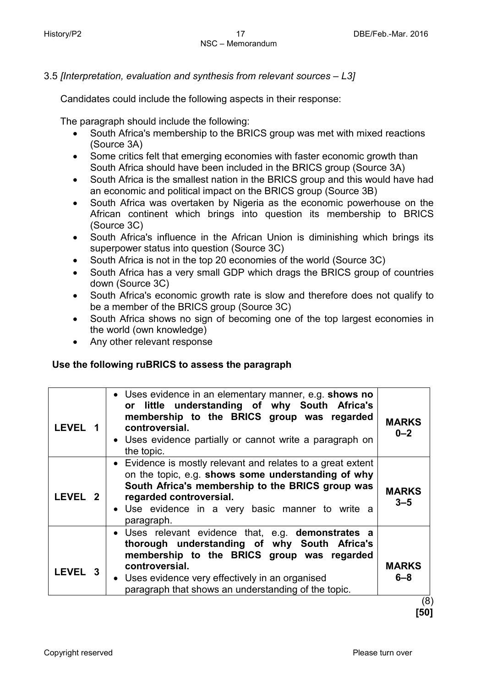3.5 *[Interpretation, evaluation and synthesis from relevant sources – L3]*

Candidates could include the following aspects in their response:

The paragraph should include the following:

- South Africa's membership to the BRICS group was met with mixed reactions (Source 3A)
- Some critics felt that emerging economies with faster economic growth than South Africa should have been included in the BRICS group (Source 3A)
- South Africa is the smallest nation in the BRICS group and this would have had an economic and political impact on the BRICS group (Source 3B)
- South Africa was overtaken by Nigeria as the economic powerhouse on the African continent which brings into question its membership to BRICS (Source 3C)
- South Africa's influence in the African Union is diminishing which brings its superpower status into question (Source 3C)
- South Africa is not in the top 20 economies of the world (Source 3C)
- South Africa has a very small GDP which drags the BRICS group of countries down (Source 3C)
- South Africa's economic growth rate is slow and therefore does not qualify to be a member of the BRICS group (Source 3C)
- South Africa shows no sign of becoming one of the top largest economies in the world (own knowledge)
- Any other relevant response

#### **Use the following ruBRICS to assess the paragraph**

| <b>LEVEL 1</b> | • Uses evidence in an elementary manner, e.g. shows no<br>or little understanding of why South Africa's<br>membership to the BRICS group was regarded<br>controversial.<br>• Uses evidence partially or cannot write a paragraph on<br>the topic.<br>• Evidence is mostly relevant and relates to a great extent | <b>MARKS</b><br>$0 - 2$ |
|----------------|------------------------------------------------------------------------------------------------------------------------------------------------------------------------------------------------------------------------------------------------------------------------------------------------------------------|-------------------------|
| LEVEL 2        | on the topic, e.g. shows some understanding of why<br>South Africa's membership to the BRICS group was<br>regarded controversial.<br>• Use evidence in a very basic manner to write a<br>paragraph.                                                                                                              | <b>MARKS</b><br>$3 - 5$ |
| LEVEL 3        | • Uses relevant evidence that, e.g. demonstrates a<br>thorough understanding of why South Africa's<br>membership to the BRICS group was regarded<br>controversial.<br>• Uses evidence very effectively in an organised<br>paragraph that shows an understanding of the topic.                                    | <b>MARKS</b><br>$6 - 8$ |

 (8) **[50]**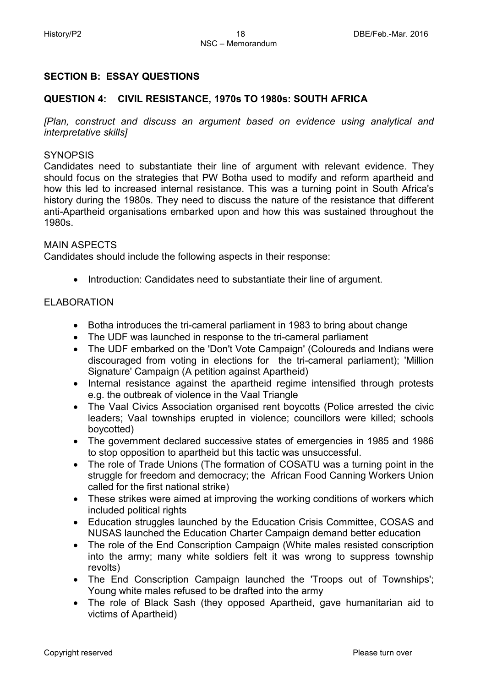#### **SECTION B: ESSAY QUESTIONS**

#### **QUESTION 4: CIVIL RESISTANCE, 1970s TO 1980s: SOUTH AFRICA**

*[Plan, construct and discuss an argument based on evidence using analytical and interpretative skills]*

#### **SYNOPSIS**

Candidates need to substantiate their line of argument with relevant evidence. They should focus on the strategies that PW Botha used to modify and reform apartheid and how this led to increased internal resistance. This was a turning point in South Africa's history during the 1980s. They need to discuss the nature of the resistance that different anti-Apartheid organisations embarked upon and how this was sustained throughout the 1980s.

#### MAIN ASPECTS

Candidates should include the following aspects in their response:

• Introduction: Candidates need to substantiate their line of argument.

#### ELABORATION

- Botha introduces the tri-cameral parliament in 1983 to bring about change
- The UDF was launched in response to the tri-cameral parliament
- The UDF embarked on the 'Don't Vote Campaign' (Coloureds and Indians were discouraged from voting in elections for the tri-cameral parliament); 'Million Signature' Campaign (A petition against Apartheid)
- Internal resistance against the apartheid regime intensified through protests e.g. the outbreak of violence in the Vaal Triangle
- The Vaal Civics Association organised rent boycotts (Police arrested the civic leaders; Vaal townships erupted in violence; councillors were killed; schools boycotted)
- The government declared successive states of emergencies in 1985 and 1986 to stop opposition to apartheid but this tactic was unsuccessful.
- The role of Trade Unions (The formation of COSATU was a turning point in the struggle for freedom and democracy; the African Food Canning Workers Union called for the first national strike)
- These strikes were aimed at improving the working conditions of workers which included political rights
- Education struggles launched by the Education Crisis Committee, COSAS and NUSAS launched the Education Charter Campaign demand better education
- The role of the End Conscription Campaign (White males resisted conscription into the army; many white soldiers felt it was wrong to suppress township revolts)
- The End Conscription Campaign launched the 'Troops out of Townships'; Young white males refused to be drafted into the army
- The role of Black Sash (they opposed Apartheid, gave humanitarian aid to victims of Apartheid)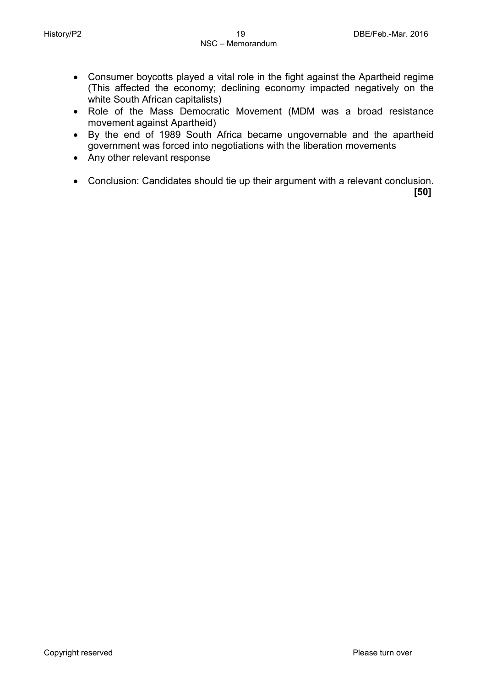- Consumer boycotts played a vital role in the fight against the Apartheid regime (This affected the economy; declining economy impacted negatively on the white South African capitalists)
- Role of the Mass Democratic Movement (MDM was a broad resistance movement against Apartheid)
- By the end of 1989 South Africa became ungovernable and the apartheid government was forced into negotiations with the liberation movements
- Any other relevant response
- Conclusion: Candidates should tie up their argument with a relevant conclusion.

 **[50]**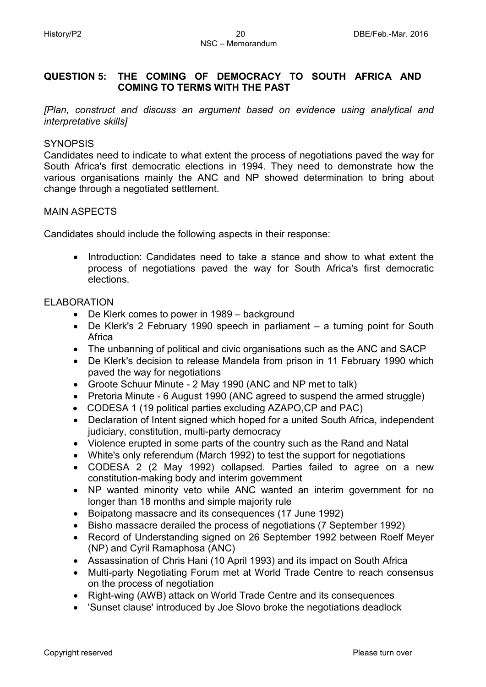#### **QUESTION 5: THE COMING OF DEMOCRACY TO SOUTH AFRICA AND COMING TO TERMS WITH THE PAST**

*[Plan, construct and discuss an argument based on evidence using analytical and interpretative skills]*

#### **SYNOPSIS**

Candidates need to indicate to what extent the process of negotiations paved the way for South Africa's first democratic elections in 1994. They need to demonstrate how the various organisations mainly the ANC and NP showed determination to bring about change through a negotiated settlement.

#### MAIN ASPECTS

Candidates should include the following aspects in their response:

• Introduction: Candidates need to take a stance and show to what extent the process of negotiations paved the way for South Africa's first democratic elections.

#### ELABORATION

- De Klerk comes to power in 1989 background
- De Klerk's 2 February 1990 speech in parliament a turning point for South Africa
- The unbanning of political and civic organisations such as the ANC and SACP
- De Klerk's decision to release Mandela from prison in 11 February 1990 which paved the way for negotiations
- Groote Schuur Minute 2 May 1990 (ANC and NP met to talk)
- Pretoria Minute 6 August 1990 (ANC agreed to suspend the armed struggle)
- CODESA 1 (19 political parties excluding AZAPO,CP and PAC)
- Declaration of Intent signed which hoped for a united South Africa, independent judiciary, constitution, multi-party democracy
- Violence erupted in some parts of the country such as the Rand and Natal
- White's only referendum (March 1992) to test the support for negotiations
- CODESA 2 (2 May 1992) collapsed. Parties failed to agree on a new constitution-making body and interim government
- NP wanted minority veto while ANC wanted an interim government for no longer than 18 months and simple majority rule
- Boipatong massacre and its consequences (17 June 1992)
- Bisho massacre derailed the process of negotiations (7 September 1992)
- Record of Understanding signed on 26 September 1992 between Roelf Meyer (NP) and Cyril Ramaphosa (ANC)
- Assassination of Chris Hani (10 April 1993) and its impact on South Africa
- Multi-party Negotiating Forum met at World Trade Centre to reach consensus on the process of negotiation
- Right-wing (AWB) attack on World Trade Centre and its consequences
- 'Sunset clause' introduced by Joe Slovo broke the negotiations deadlock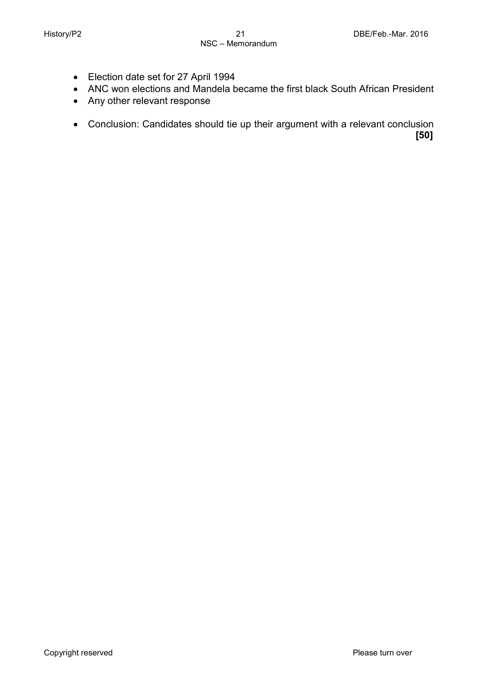- Election date set for 27 April 1994
- ANC won elections and Mandela became the first black South African President
- Any other relevant response
- Conclusion: Candidates should tie up their argument with a relevant conclusion **[50]**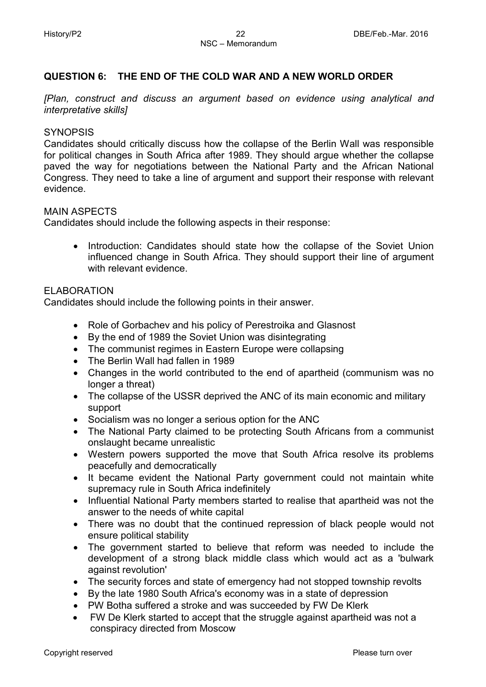#### **QUESTION 6: THE END OF THE COLD WAR AND A NEW WORLD ORDER**

*[Plan, construct and discuss an argument based on evidence using analytical and interpretative skills]*

#### **SYNOPSIS**

Candidates should critically discuss how the collapse of the Berlin Wall was responsible for political changes in South Africa after 1989. They should argue whether the collapse paved the way for negotiations between the National Party and the African National Congress. They need to take a line of argument and support their response with relevant evidence.

#### MAIN ASPECTS

Candidates should include the following aspects in their response:

• Introduction: Candidates should state how the collapse of the Soviet Union influenced change in South Africa. They should support their line of argument with relevant evidence

#### ELABORATION

Candidates should include the following points in their answer.

- Role of Gorbachev and his policy of Perestroika and Glasnost
- By the end of 1989 the Soviet Union was disintegrating
- The communist regimes in Eastern Europe were collapsing
- The Berlin Wall had fallen in 1989
- Changes in the world contributed to the end of apartheid (communism was no longer a threat)
- The collapse of the USSR deprived the ANC of its main economic and military support
- Socialism was no longer a serious option for the ANC
- The National Party claimed to be protecting South Africans from a communist onslaught became unrealistic
- Western powers supported the move that South Africa resolve its problems peacefully and democratically
- It became evident the National Party government could not maintain white supremacy rule in South Africa indefinitely
- Influential National Party members started to realise that apartheid was not the answer to the needs of white capital
- There was no doubt that the continued repression of black people would not ensure political stability
- The government started to believe that reform was needed to include the development of a strong black middle class which would act as a 'bulwark against revolution'
- The security forces and state of emergency had not stopped township revolts
- By the late 1980 South Africa's economy was in a state of depression
- PW Botha suffered a stroke and was succeeded by FW De Klerk
- FW De Klerk started to accept that the struggle against apartheid was not a conspiracy directed from Moscow